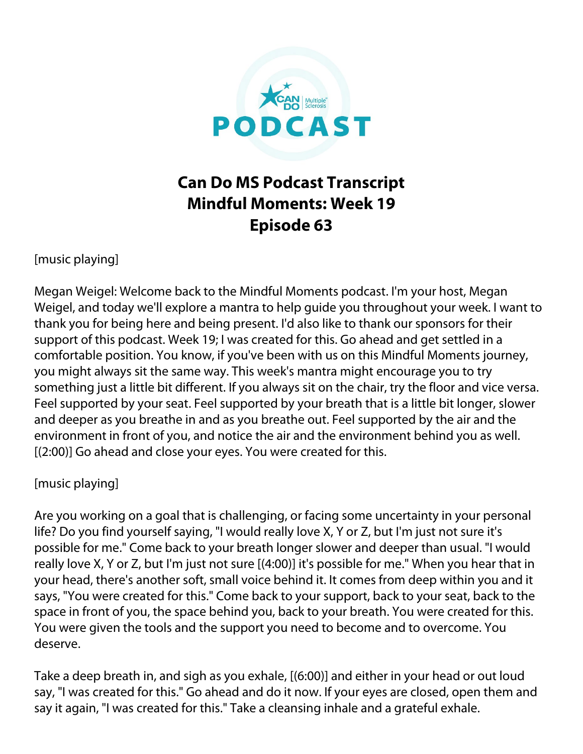

## **Can Do MS Podcast Transcript Mindful Moments: Week 19 Episode 63**

[music playing]

Megan Weigel: Welcome back to the Mindful Moments podcast. I'm your host, Megan Weigel, and today we'll explore a mantra to help guide you throughout your week. I want to thank you for being here and being present. I'd also like to thank our sponsors for their support of this podcast. Week 19; I was created for this. Go ahead and get settled in a comfortable position. You know, if you've been with us on this Mindful Moments journey, you might always sit the same way. This week's mantra might encourage you to try something just a little bit different. If you always sit on the chair, try the floor and vice versa. Feel supported by your seat. Feel supported by your breath that is a little bit longer, slower and deeper as you breathe in and as you breathe out. Feel supported by the air and the environment in front of you, and notice the air and the environment behind you as well. [(2:00)] Go ahead and close your eyes. You were created for this.

## [music playing]

Are you working on a goal that is challenging, or facing some uncertainty in your personal life? Do you find yourself saying, "I would really love X, Y or Z, but I'm just not sure it's possible for me." Come back to your breath longer slower and deeper than usual. "I would really love X, Y or Z, but I'm just not sure [(4:00)] it's possible for me." When you hear that in your head, there's another soft, small voice behind it. It comes from deep within you and it says, "You were created for this." Come back to your support, back to your seat, back to the space in front of you, the space behind you, back to your breath. You were created for this. You were given the tools and the support you need to become and to overcome. You deserve.

Take a deep breath in, and sigh as you exhale, [(6:00)] and either in your head or out loud say, "I was created for this." Go ahead and do it now. If your eyes are closed, open them and say it again, "I was created for this." Take a cleansing inhale and a grateful exhale.